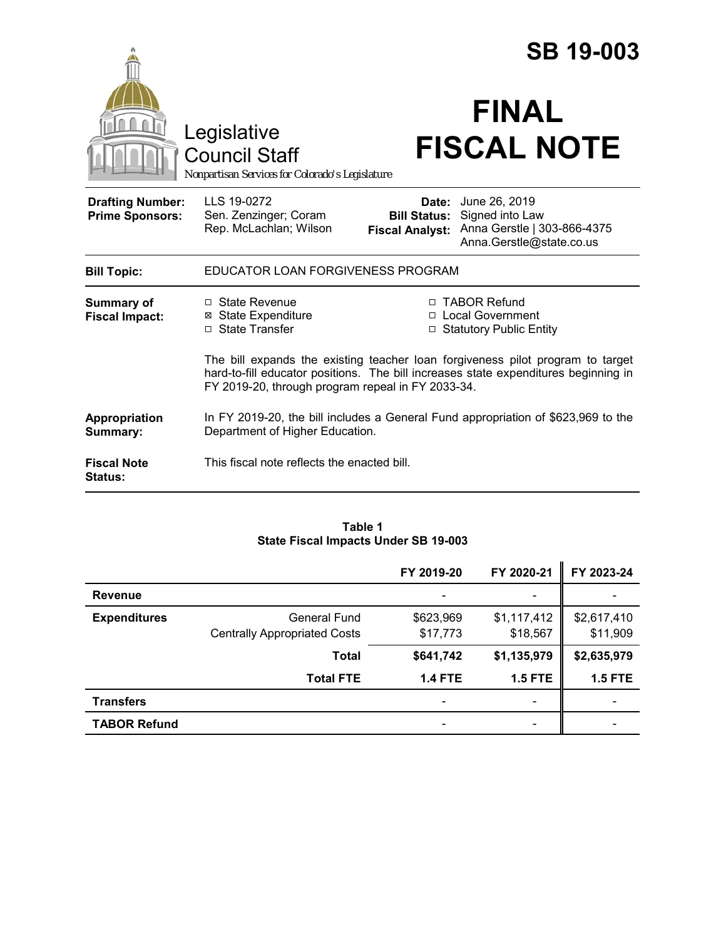|                                                   |                                                                                                                                                                                                                            | <b>SB 19-003</b>                |                                                                                                                 |  |
|---------------------------------------------------|----------------------------------------------------------------------------------------------------------------------------------------------------------------------------------------------------------------------------|---------------------------------|-----------------------------------------------------------------------------------------------------------------|--|
|                                                   | Legislative<br><b>Council Staff</b><br>Nonpartisan Services for Colorado's Legislature                                                                                                                                     |                                 | <b>FINAL</b><br><b>FISCAL NOTE</b>                                                                              |  |
| <b>Drafting Number:</b><br><b>Prime Sponsors:</b> | LLS 19-0272<br>Sen. Zenzinger; Coram<br>Rep. McLachlan; Wilson                                                                                                                                                             | Date:<br><b>Fiscal Analyst:</b> | June 26, 2019<br><b>Bill Status:</b> Signed into Law<br>Anna Gerstle   303-866-4375<br>Anna.Gerstle@state.co.us |  |
| <b>Bill Topic:</b>                                | EDUCATOR LOAN FORGIVENESS PROGRAM                                                                                                                                                                                          |                                 |                                                                                                                 |  |
| <b>Summary of</b><br><b>Fiscal Impact:</b>        | $\Box$ State Revenue<br><b>⊠</b> State Expenditure<br>□ State Transfer                                                                                                                                                     |                                 | □ TABOR Refund<br>□ Local Government<br>□ Statutory Public Entity                                               |  |
|                                                   | The bill expands the existing teacher loan forgiveness pilot program to target<br>hard-to-fill educator positions. The bill increases state expenditures beginning in<br>FY 2019-20, through program repeal in FY 2033-34. |                                 |                                                                                                                 |  |
| Appropriation<br>Summary:                         | In FY 2019-20, the bill includes a General Fund appropriation of \$623,969 to the<br>Department of Higher Education.                                                                                                       |                                 |                                                                                                                 |  |
| <b>Fiscal Note</b><br><b>Status:</b>              | This fiscal note reflects the enacted bill.                                                                                                                                                                                |                                 |                                                                                                                 |  |

#### **Table 1 State Fiscal Impacts Under SB 19-003**

|                     |                                     | FY 2019-20     | FY 2020-21                   | FY 2023-24     |
|---------------------|-------------------------------------|----------------|------------------------------|----------------|
| <b>Revenue</b>      |                                     |                | -                            |                |
| <b>Expenditures</b> | General Fund                        | \$623,969      | \$1,117,412                  | \$2,617,410    |
|                     | <b>Centrally Appropriated Costs</b> | \$17,773       | \$18,567                     | \$11,909       |
|                     | <b>Total</b>                        | \$641,742      | \$1,135,979                  | \$2,635,979    |
|                     | <b>Total FTE</b>                    | <b>1.4 FTE</b> | <b>1.5 FTE</b>               | <b>1.5 FTE</b> |
| <b>Transfers</b>    |                                     |                | $\qquad \qquad \blacksquare$ |                |
| <b>TABOR Refund</b> |                                     |                |                              |                |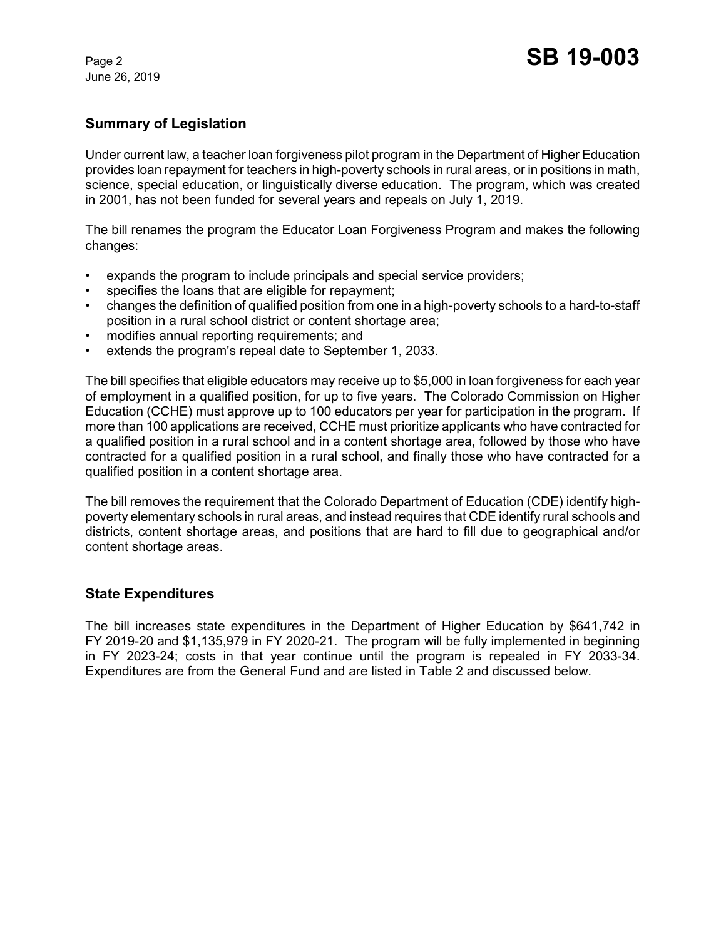June 26, 2019

## **Summary of Legislation**

Under current law, a teacher loan forgiveness pilot program in the Department of Higher Education provides loan repayment for teachers in high-poverty schools in rural areas, or in positions in math, science, special education, or linguistically diverse education. The program, which was created in 2001, has not been funded for several years and repeals on July 1, 2019.

The bill renames the program the Educator Loan Forgiveness Program and makes the following changes:

- expands the program to include principals and special service providers;
- specifies the loans that are eligible for repayment;
- changes the definition of qualified position from one in a high-poverty schools to a hard-to-staff position in a rural school district or content shortage area;
- modifies annual reporting requirements; and
- extends the program's repeal date to September 1, 2033.

The bill specifies that eligible educators may receive up to \$5,000 in loan forgiveness for each year of employment in a qualified position, for up to five years. The Colorado Commission on Higher Education (CCHE) must approve up to 100 educators per year for participation in the program. If more than 100 applications are received, CCHE must prioritize applicants who have contracted for a qualified position in a rural school and in a content shortage area, followed by those who have contracted for a qualified position in a rural school, and finally those who have contracted for a qualified position in a content shortage area.

The bill removes the requirement that the Colorado Department of Education (CDE) identify highpoverty elementary schools in rural areas, and instead requires that CDE identify rural schools and districts, content shortage areas, and positions that are hard to fill due to geographical and/or content shortage areas.

### **State Expenditures**

The bill increases state expenditures in the Department of Higher Education by \$641,742 in FY 2019-20 and \$1,135,979 in FY 2020-21. The program will be fully implemented in beginning in FY 2023-24; costs in that year continue until the program is repealed in FY 2033-34. Expenditures are from the General Fund and are listed in Table 2 and discussed below.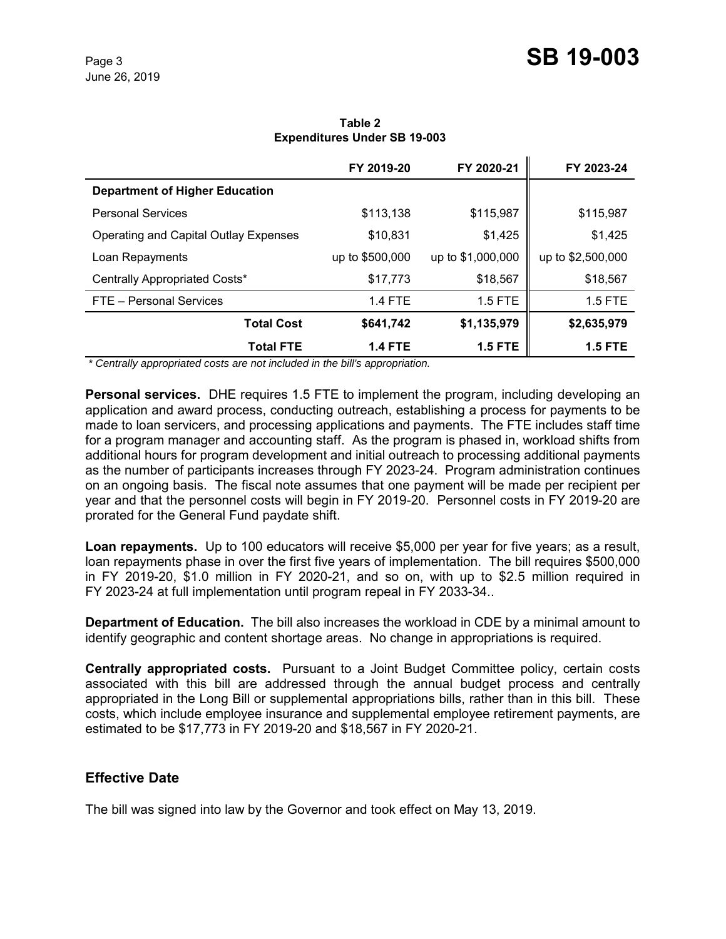|                                                             | FY 2019-20               | FY 2020-21        | FY 2023-24        |
|-------------------------------------------------------------|--------------------------|-------------------|-------------------|
| <b>Department of Higher Education</b>                       |                          |                   |                   |
| <b>Personal Services</b>                                    | \$113,138                | \$115,987         | \$115,987         |
| Operating and Capital Outlay Expenses                       | \$10,831                 | \$1,425           | \$1,425           |
| Loan Repayments                                             | up to \$500,000          | up to \$1,000,000 | up to \$2,500,000 |
| Centrally Appropriated Costs*                               | \$17,773                 | \$18,567          | \$18,567          |
| FTE - Personal Services                                     | <b>1.4 FTE</b>           | 1.5 FTE           | 1.5 FTE           |
| <b>Total Cost</b>                                           | \$641,742                | \$1,135,979       | \$2,635,979       |
| <b>Total FTE</b><br>$\sim$ $\sim$ $\sim$ $\sim$ $\sim$<br>. | <b>1.4 FTE</b><br>.<br>. | <b>1.5 FTE</b>    | <b>1.5 FTE</b>    |

**Table 2 Expenditures Under SB 19-003**

 *\* Centrally appropriated costs are not included in the bill's appropriation.*

**Personal services.** DHE requires 1.5 FTE to implement the program, including developing an application and award process, conducting outreach, establishing a process for payments to be made to loan servicers, and processing applications and payments. The FTE includes staff time for a program manager and accounting staff. As the program is phased in, workload shifts from additional hours for program development and initial outreach to processing additional payments as the number of participants increases through FY 2023-24. Program administration continues on an ongoing basis. The fiscal note assumes that one payment will be made per recipient per year and that the personnel costs will begin in FY 2019-20. Personnel costs in FY 2019-20 are prorated for the General Fund paydate shift.

**Loan repayments.** Up to 100 educators will receive \$5,000 per year for five years; as a result, loan repayments phase in over the first five years of implementation. The bill requires \$500,000 in FY 2019-20, \$1.0 million in FY 2020-21, and so on, with up to \$2.5 million required in FY 2023-24 at full implementation until program repeal in FY 2033-34..

**Department of Education.** The bill also increases the workload in CDE by a minimal amount to identify geographic and content shortage areas. No change in appropriations is required.

**Centrally appropriated costs.** Pursuant to a Joint Budget Committee policy, certain costs associated with this bill are addressed through the annual budget process and centrally appropriated in the Long Bill or supplemental appropriations bills, rather than in this bill. These costs, which include employee insurance and supplemental employee retirement payments, are estimated to be \$17,773 in FY 2019-20 and \$18,567 in FY 2020-21.

### **Effective Date**

The bill was signed into law by the Governor and took effect on May 13, 2019.